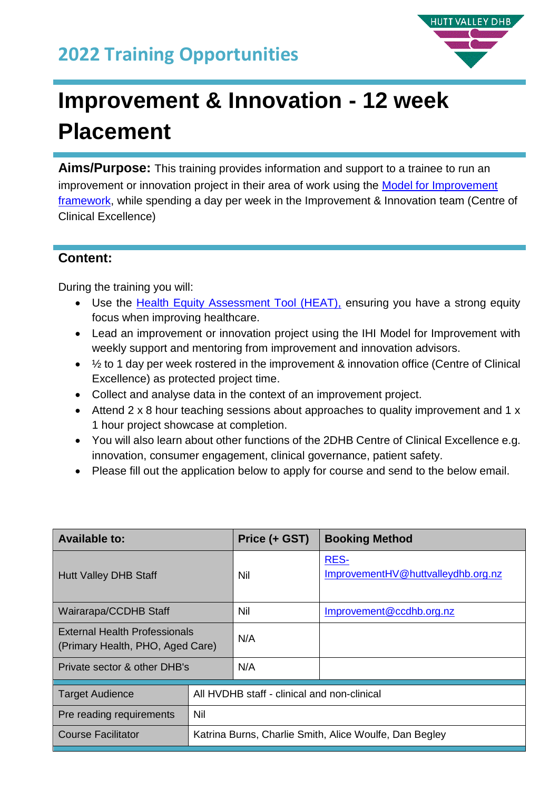# **2022 Training Opportunities**



# **Improvement & Innovation - 12 week Placement**

**Aims/Purpose:** This training provides information and support to a trainee to run an improvement or innovation project in their area of work using the [Model for Improvement](http://www.ihi.org/resources/Pages/HowtoImprove/default.aspx)  [framework,](http://www.ihi.org/resources/Pages/HowtoImprove/default.aspx) while spending a day per week in the Improvement & Innovation team (Centre of Clinical Excellence)

#### **Content:**

During the training you will:

- Use the [Health Equity Assessment Tool \(HEAT\),](https://www.health.govt.nz/system/files/documents/publications/health-equity-assessment-tool-guide.pdf) ensuring you have a strong equity focus when improving healthcare.
- Lead an improvement or innovation project using the IHI Model for Improvement with weekly support and mentoring from improvement and innovation advisors.
- $\bullet$   $\frac{1}{2}$  to 1 day per week rostered in the improvement & innovation office (Centre of Clinical Excellence) as protected project time.
- Collect and analyse data in the context of an improvement project.
- Attend 2 x 8 hour teaching sessions about approaches to quality improvement and 1 x 1 hour project showcase at completion.
- You will also learn about other functions of the 2DHB Centre of Clinical Excellence e.g. innovation, consumer engagement, clinical governance, patient safety.
- Please fill out the application below to apply for course and send to the below email.

| <b>Available to:</b>                                              |                                                        | Price (+ GST) | <b>Booking Method</b>                             |  |
|-------------------------------------------------------------------|--------------------------------------------------------|---------------|---------------------------------------------------|--|
| <b>Hutt Valley DHB Staff</b>                                      |                                                        | Nil           | <b>RES-</b><br>ImprovementHV@huttvalleydhb.org.nz |  |
| Wairarapa/CCDHB Staff                                             |                                                        | Nil           | Improvement@ccdhb.org.nz                          |  |
| External Health Professionals<br>(Primary Health, PHO, Aged Care) |                                                        | N/A           |                                                   |  |
| Private sector & other DHB's                                      |                                                        | N/A           |                                                   |  |
| <b>Target Audience</b>                                            | All HVDHB staff - clinical and non-clinical            |               |                                                   |  |
| Pre reading requirements                                          | Nil                                                    |               |                                                   |  |
| <b>Course Facilitator</b>                                         | Katrina Burns, Charlie Smith, Alice Woulfe, Dan Begley |               |                                                   |  |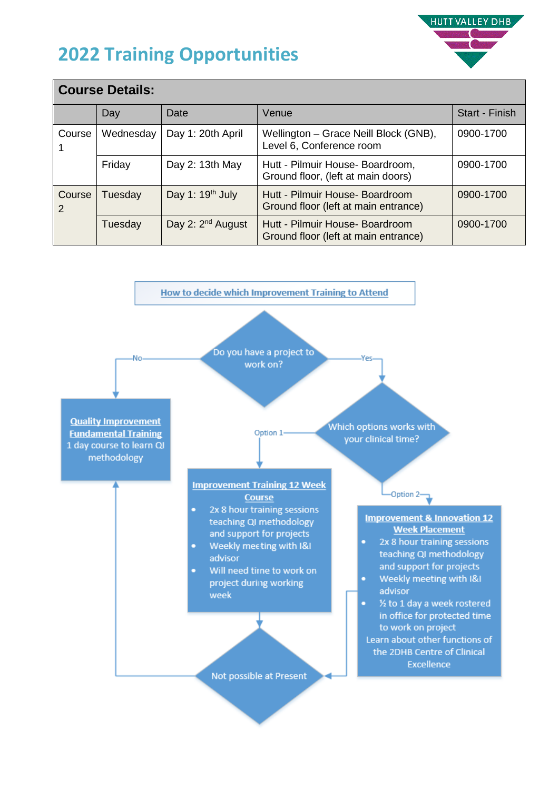# **2022 Training Opportunities**



| <b>Course Details:</b>                                 |                                |                               |                                                                         |                |  |  |  |
|--------------------------------------------------------|--------------------------------|-------------------------------|-------------------------------------------------------------------------|----------------|--|--|--|
|                                                        | Day                            | Date                          | Venue                                                                   | Start - Finish |  |  |  |
| Course                                                 | Day 1: 20th April<br>Wednesday |                               | Wellington - Grace Neill Block (GNB),<br>Level 6, Conference room       | 0900-1700      |  |  |  |
|                                                        | Friday                         | Day 2: 13th May               | Hutt - Pilmuir House- Boardroom,<br>Ground floor, (left at main doors)  | 0900-1700      |  |  |  |
| Day 1: 19 <sup>th</sup> July<br>Course<br>Tuesday<br>2 |                                |                               | Hutt - Pilmuir House- Boardroom<br>Ground floor (left at main entrance) | 0900-1700      |  |  |  |
|                                                        | Tuesday                        | Day 2: 2 <sup>nd</sup> August | Hutt - Pilmuir House- Boardroom<br>Ground floor (left at main entrance) | 0900-1700      |  |  |  |